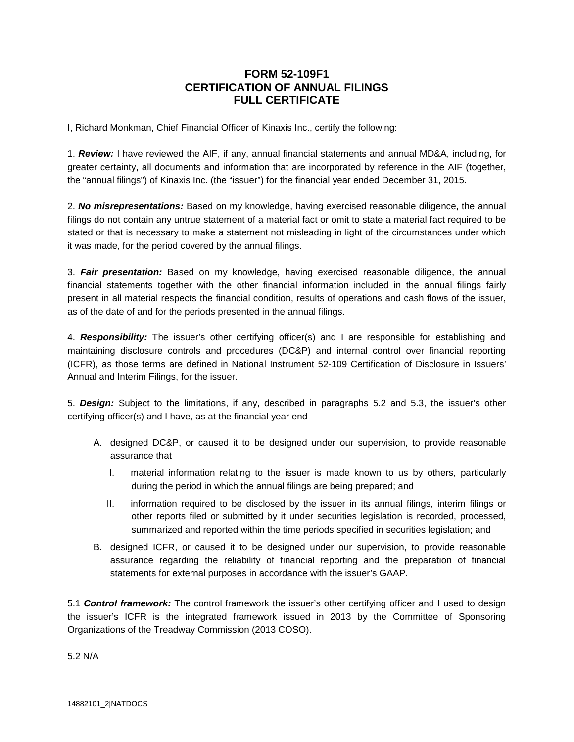## **FORM 52-109F1 CERTIFICATION OF ANNUAL FILINGS FULL CERTIFICATE**

I, Richard Monkman, Chief Financial Officer of Kinaxis Inc., certify the following:

1. *Review:* I have reviewed the AIF, if any, annual financial statements and annual MD&A, including, for greater certainty, all documents and information that are incorporated by reference in the AIF (together, the "annual filings") of Kinaxis Inc. (the "issuer") for the financial year ended December 31, 2015.

2. *No misrepresentations:* Based on my knowledge, having exercised reasonable diligence, the annual filings do not contain any untrue statement of a material fact or omit to state a material fact required to be stated or that is necessary to make a statement not misleading in light of the circumstances under which it was made, for the period covered by the annual filings.

3. *Fair presentation:* Based on my knowledge, having exercised reasonable diligence, the annual financial statements together with the other financial information included in the annual filings fairly present in all material respects the financial condition, results of operations and cash flows of the issuer, as of the date of and for the periods presented in the annual filings.

4. *Responsibility:* The issuer's other certifying officer(s) and I are responsible for establishing and maintaining disclosure controls and procedures (DC&P) and internal control over financial reporting (ICFR), as those terms are defined in National Instrument 52-109 Certification of Disclosure in Issuers' Annual and Interim Filings, for the issuer.

5. *Design:* Subject to the limitations, if any, described in paragraphs 5.2 and 5.3, the issuer's other certifying officer(s) and I have, as at the financial year end

- A. designed DC&P, or caused it to be designed under our supervision, to provide reasonable assurance that
	- I. material information relating to the issuer is made known to us by others, particularly during the period in which the annual filings are being prepared; and
	- II. information required to be disclosed by the issuer in its annual filings, interim filings or other reports filed or submitted by it under securities legislation is recorded, processed, summarized and reported within the time periods specified in securities legislation; and
- B. designed ICFR, or caused it to be designed under our supervision, to provide reasonable assurance regarding the reliability of financial reporting and the preparation of financial statements for external purposes in accordance with the issuer's GAAP.

5.1 *Control framework:* The control framework the issuer's other certifying officer and I used to design the issuer's ICFR is the integrated framework issued in 2013 by the Committee of Sponsoring Organizations of the Treadway Commission (2013 COSO).

5.2 N/A